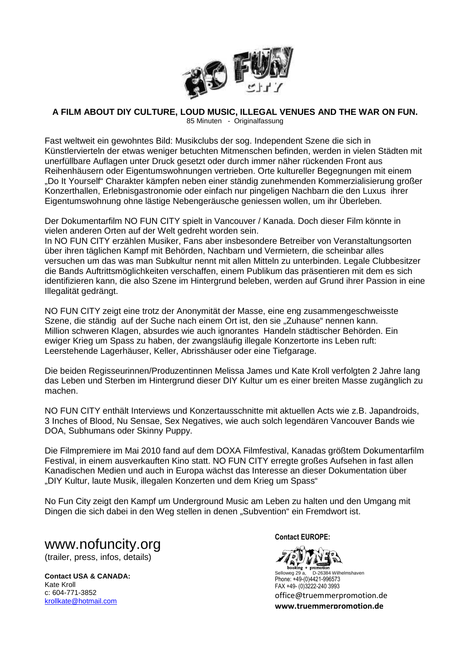

## **A FILM ABOUT DIY CULTURE, LOUD MUSIC, ILLEGAL VENUES AND THE WAR ON FUN.**

85 Minuten - Originalfassung

Fast weltweit ein gewohntes Bild: Musikclubs der sog. Independent Szene die sich in Künstlervierteln der etwas weniger betuchten Mitmenschen befinden, werden in vielen Städten mit unerfüllbare Auflagen unter Druck gesetzt oder durch immer näher rückenden Front aus Reihenhäusern oder Eigentumswohnungen vertrieben. Orte kultureller Begegnungen mit einem "Do It Yourself" Charakter kämpfen neben einer ständig zunehmenden Kommerzialisierung großer Konzerthallen, Erlebnisgastronomie oder einfach nur pingeligen Nachbarn die den Luxus ihrer Eigentumswohnung ohne lästige Nebengeräusche geniessen wollen, um ihr Überleben.

Der Dokumentarfilm NO FUN CITY spielt in Vancouver / Kanada. Doch dieser Film könnte in vielen anderen Orten auf der Welt gedreht worden sein.

In NO FUN CITY erzählen Musiker, Fans aber insbesondere Betreiber von Veranstaltungsorten über ihren täglichen Kampf mit Behörden, Nachbarn und Vermietern, die scheinbar alles versuchen um das was man Subkultur nennt mit allen Mitteln zu unterbinden. Legale Clubbesitzer die Bands Auftrittsmöglichkeiten verschaffen, einem Publikum das präsentieren mit dem es sich identifizieren kann, die also Szene im Hintergrund beleben, werden auf Grund ihrer Passion in eine Illegalität gedrängt.

NO FUN CITY zeigt eine trotz der Anonymität der Masse, eine eng zusammengeschweisste Szene, die ständig auf der Suche nach einem Ort ist, den sie "Zuhause" nennen kann. Million schweren Klagen, absurdes wie auch ignorantes Handeln städtischer Behörden. Ein ewiger Krieg um Spass zu haben, der zwangsläufig illegale Konzertorte ins Leben ruft: Leerstehende Lagerhäuser, Keller, Abrisshäuser oder eine Tiefgarage.

Die beiden Regisseurinnen/Produzentinnen Melissa James und Kate Kroll verfolgten 2 Jahre lang das Leben und Sterben im Hintergrund dieser DIY Kultur um es einer breiten Masse zugänglich zu machen.

NO FUN CITY enthält Interviews und Konzertausschnitte mit aktuellen Acts wie z.B. Japandroids, 3 Inches of Blood, Nu Sensae, Sex Negatives, wie auch solch legendären Vancouver Bands wie DOA, Subhumans oder Skinny Puppy.

Die Filmpremiere im Mai 2010 fand auf dem DOXA Filmfestival, Kanadas größtem Dokumentarfilm Festival, in einem ausverkauften Kino statt. NO FUN CITY erregte großes Aufsehen in fast allen Kanadischen Medien und auch in Europa wächst das Interesse an dieser Dokumentation über "DIY Kultur, laute Musik, illegalen Konzerten und dem Krieg um Spass"

No Fun City zeigt den Kampf um Underground Music am Leben zu halten und den Umgang mit Dingen die sich dabei in den Weg stellen in denen "Subvention" ein Fremdwort ist.

www.nofuncity.org (trailer, press, infos, details)

**Contact USA & CANADA:**  Kate Kroll c: 604-771-3852 krollkate@hotmail.com

**Contact EUROPE:** 

ng + pr

Selloweg 29 a, D-26384 Wilhelmshaven Phone: +49-(0)4421-996573 FAX +49- (0)3222-240 3993 office@truemmerpromotion.de **www.truemmerpromotion.de**